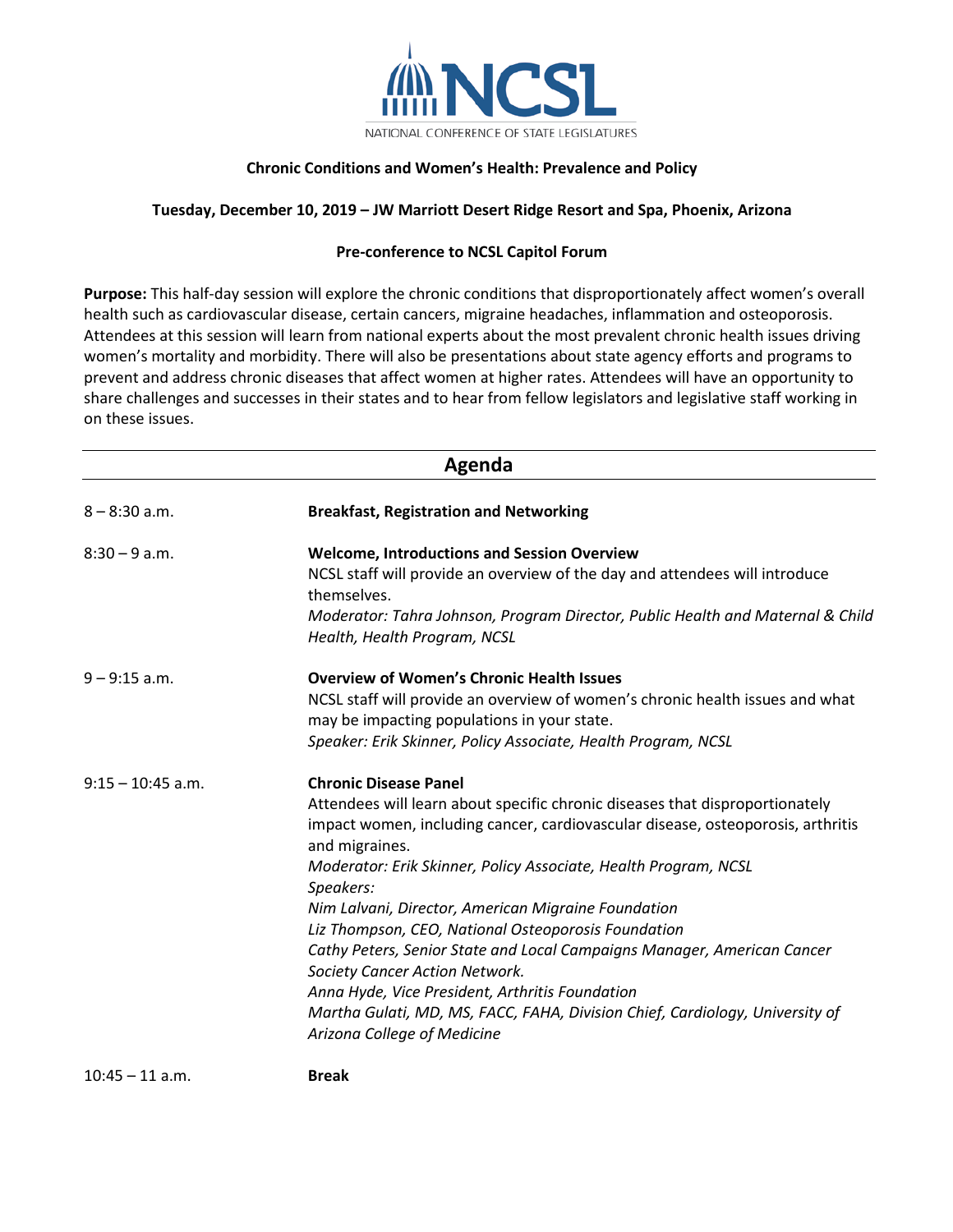

## **Chronic Conditions and Women's Health: Prevalence and Policy**

## **Tuesday, December 10, 2019 – JW Marriott Desert Ridge Resort and Spa, Phoenix, Arizona**

## **Pre-conference to NCSL Capitol Forum**

**Purpose:** This half-day session will explore the chronic conditions that disproportionately affect women's overall health such as cardiovascular disease, certain cancers, migraine headaches, inflammation and osteoporosis. Attendees at this session will learn from national experts about the most prevalent chronic health issues driving women's mortality and morbidity. There will also be presentations about state agency efforts and programs to prevent and address chronic diseases that affect women at higher rates. Attendees will have an opportunity to share challenges and successes in their states and to hear from fellow legislators and legislative staff working in on these issues.

| Agenda              |                                                                                                                                                                                   |  |
|---------------------|-----------------------------------------------------------------------------------------------------------------------------------------------------------------------------------|--|
| $8 - 8:30$ a.m.     | <b>Breakfast, Registration and Networking</b>                                                                                                                                     |  |
| $8:30 - 9$ a.m.     | <b>Welcome, Introductions and Session Overview</b>                                                                                                                                |  |
|                     | NCSL staff will provide an overview of the day and attendees will introduce<br>themselves.                                                                                        |  |
|                     | Moderator: Tahra Johnson, Program Director, Public Health and Maternal & Child<br>Health, Health Program, NCSL                                                                    |  |
| $9 - 9:15$ a.m.     | <b>Overview of Women's Chronic Health Issues</b>                                                                                                                                  |  |
|                     | NCSL staff will provide an overview of women's chronic health issues and what<br>may be impacting populations in your state.                                                      |  |
|                     | Speaker: Erik Skinner, Policy Associate, Health Program, NCSL                                                                                                                     |  |
| $9:15 - 10:45$ a.m. | <b>Chronic Disease Panel</b>                                                                                                                                                      |  |
|                     | Attendees will learn about specific chronic diseases that disproportionately<br>impact women, including cancer, cardiovascular disease, osteoporosis, arthritis<br>and migraines. |  |
|                     | Moderator: Erik Skinner, Policy Associate, Health Program, NCSL<br>Speakers:                                                                                                      |  |
|                     | Nim Lalvani, Director, American Migraine Foundation                                                                                                                               |  |
|                     | Liz Thompson, CEO, National Osteoporosis Foundation                                                                                                                               |  |
|                     | Cathy Peters, Senior State and Local Campaigns Manager, American Cancer<br>Society Cancer Action Network.                                                                         |  |
|                     | Anna Hyde, Vice President, Arthritis Foundation                                                                                                                                   |  |
|                     | Martha Gulati, MD, MS, FACC, FAHA, Division Chief, Cardiology, University of<br>Arizona College of Medicine                                                                       |  |
| $10:45 - 11$ a.m.   | <b>Break</b>                                                                                                                                                                      |  |